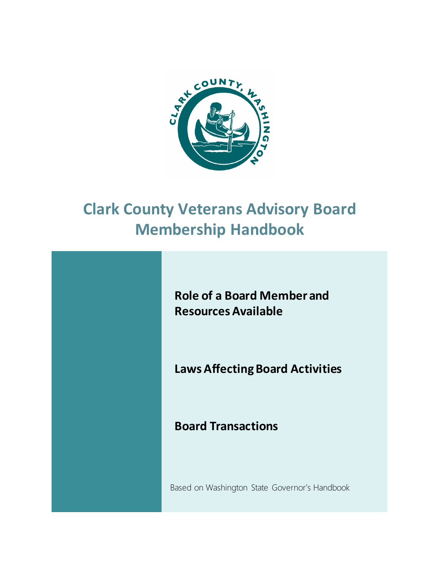

# **Clark County Veterans Advisory Board Membership Handbook**

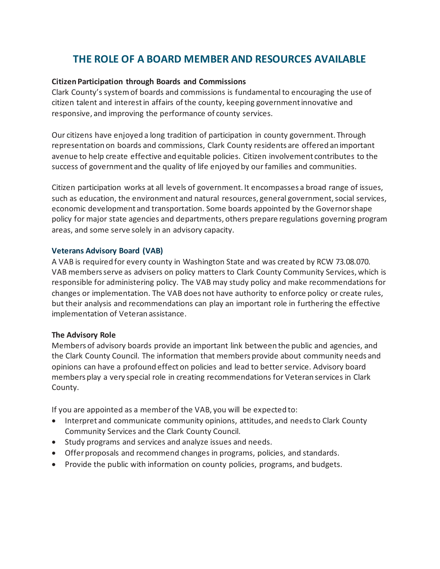# **THE ROLE OF A BOARD MEMBER AND RESOURCES AVAILABLE**

# **Citizen Participation through Boards and Commissions**

Clark County's system of boards and commissions is fundamental to encouraging the use of citizen talent and interest in affairs of the county, keeping government innovative and responsive, and improving the performance of county services.

Our citizens have enjoyed a long tradition of participation in county government. Through representation on boards and commissions, Clark County residents are offered an important avenue to help create effective and equitable policies. Citizen involvement contributes to the success of government and the quality of life enjoyed by our families and communities.

Citizen participation works at all levels of government. It encompasses a broad range of issues, such as education, the environment and natural resources, general government, social services, economic development and transportation. Some boards appointed by the Governor shape policy for major state agencies and departments, others prepare regulations governing program areas, and some serve solely in an advisory capacity.

# **Veterans Advisory Board (VAB)**

A VAB is required for every county in Washington State and was created by RCW 73.08.070. VAB members serve as advisers on policy matters to Clark County Community Services, which is responsible for administering policy. The VAB may study policy and make recommendations for changes or implementation. The VAB does not have authority to enforce policy or create rules, but their analysis and recommendations can play an important role in furthering the effective implementation of Veteran assistance.

# **The Advisory Role**

Members of advisory boards provide an important link between the public and agencies, and the Clark County Council. The information that members provide about community needs and opinions can have a profound effect on policies and lead to better service. Advisory board members play a very special role in creating recommendations for Veteran services in Clark County.

If you are appointed as a member of the VAB, you will be expected to:

- Interpret and communicate community opinions, attitudes, and needs to Clark County Community Services and the Clark County Council.
- Study programs and services and analyze issues and needs.
- Offer proposals and recommend changes in programs, policies, and standards.
- Provide the public with information on county policies, programs, and budgets.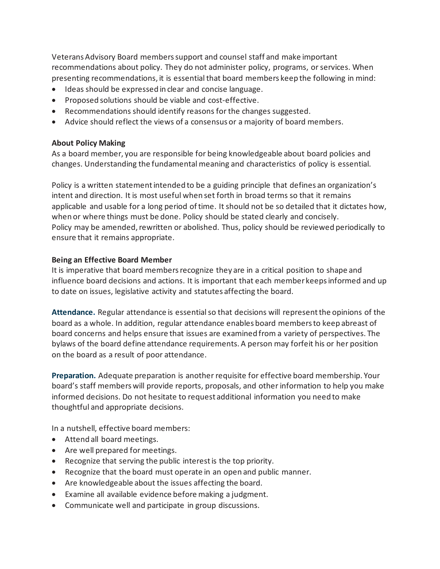Veterans Advisory Board members support and counsel staff and make important recommendations about policy. They do not administer policy, programs, or services. When presenting recommendations, it is essential that board members keep the following in mind:

- Ideas should be expressed in clear and concise language.
- Proposed solutions should be viable and cost-effective.
- Recommendations should identify reasons for the changes suggested.
- Advice should reflect the views of a consensus or a majority of board members.

#### **About Policy Making**

As a board member, you are responsible for being knowledgeable about board policies and changes. Understanding the fundamental meaning and characteristics of policy is essential.

Policy is a written statement intended to be a guiding principle that defines an organization's intent and direction. It is most useful when set forth in broad terms so that it remains applicable and usable for a long period of time. It should not be so detailed that it dictates how, when or where things must be done. Policy should be stated clearly and concisely. Policy may be amended, rewritten or abolished. Thus, policy should be reviewed periodically to ensure that it remains appropriate.

# **Being an Effective Board Member**

It is imperative that board members recognize they are in a critical position to shape and influence board decisions and actions. It is important that each member keeps informed and up to date on issues, legislative activity and statutes affecting the board.

**Attendance.** Regular attendance is essential so that decisions will represent the opinions of the board as a whole. In addition, regular attendance enables board members to keep abreast of board concerns and helps ensure that issues are examined from a variety of perspectives. The bylaws of the board define attendance requirements. A person may forfeit his or her position on the board as a result of poor attendance.

**Preparation.** Adequate preparation is another requisite for effective board membership. Your board's staff members will provide reports, proposals, and other information to help you make informed decisions. Do not hesitate to request additional information you need to make thoughtful and appropriate decisions.

In a nutshell, effective board members:

- Attend all board meetings.
- Are well prepared for meetings.
- Recognize that serving the public interest is the top priority.
- Recognize that the board must operate in an open and public manner.
- Are knowledgeable about the issues affecting the board.
- Examine all available evidence before making a judgment.
- Communicate well and participate in group discussions.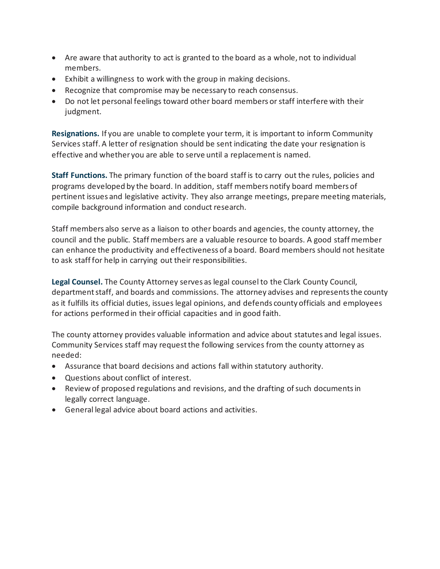- Are aware that authority to act is granted to the board as a whole, not to individual members.
- Exhibit a willingness to work with the group in making decisions.
- Recognize that compromise may be necessary to reach consensus.
- Do not let personal feelings toward other board members or staff interfere with their judgment.

**Resignations.** If you are unable to complete your term, it is important to inform Community Services staff. A letter of resignation should be sent indicating the date your resignation is effective and whether you are able to serve until a replacement is named.

**Staff Functions.** The primary function of the board staff is to carry out the rules, policies and programs developed by the board. In addition, staff members notify board members of pertinent issues and legislative activity. They also arrange meetings, prepare meeting materials, compile background information and conduct research.

Staff members also serve as a liaison to other boards and agencies, the county attorney, the council and the public. Staff members are a valuable resource to boards. A good staff member can enhance the productivity and effectiveness of a board. Board members should not hesitate to ask staff for help in carrying out their responsibilities.

**Legal Counsel.** The County Attorney serves as legal counsel to the Clark County Council, department staff, and boards and commissions. The attorney advises and represents the county as it fulfills its official duties, issues legal opinions, and defends county officials and employees for actions performed in their official capacities and in good faith.

The county attorney provides valuable information and advice about statutes and legal issues. Community Services staff may request the following services from the county attorney as needed:

- Assurance that board decisions and actions fall within statutory authority.
- Questions about conflict of interest.
- Review of proposed regulations and revisions, and the drafting of such documents in legally correct language.
- General legal advice about board actions and activities.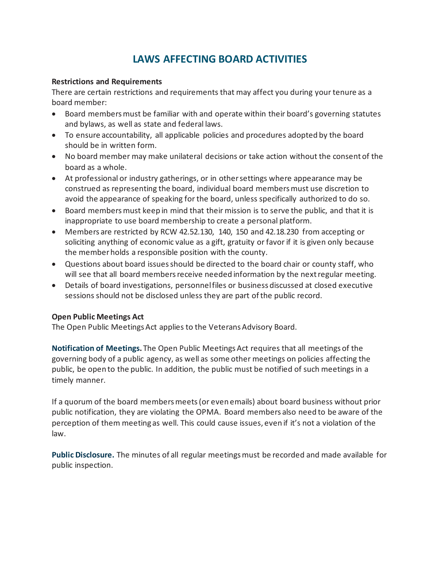# **LAWS AFFECTING BOARD ACTIVITIES**

# **Restrictions and Requirements**

There are certain restrictions and requirements that may affect you during your tenure as a board member:

- Board members must be familiar with and operate within their board's governing statutes and bylaws, as well as state and federal laws.
- To ensure accountability, all applicable policies and procedures adopted by the board should be in written form.
- No board member may make unilateral decisions or take action without the consent of the board as a whole.
- At professional or industry gatherings, or in other settings where appearance may be construed as representing the board, individual board members must use discretion to avoid the appearance of speaking for the board, unless specifically authorized to do so.
- Board members must keep in mind that their mission is to serve the public, and that it is inappropriate to use board membership to create a personal platform.
- Members are restricted by RCW 42.52.130, 140, 150 and 42.18.230 from accepting or soliciting anything of economic value as a gift, gratuity or favor if it is given only because the member holds a responsible position with the county.
- Questions about board issues should be directed to the board chair or county staff, who will see that all board members receive needed information by the next regular meeting.
- Details of board investigations, personnel files or business discussed at closed executive sessions should not be disclosed unless they are part of the public record.

# **Open Public Meetings Act**

The Open Public Meetings Act applies to the Veterans Advisory Board.

**Notification of Meetings.** The Open Public Meetings Act requires that all meetings of the governing body of a public agency, as well as some other meetings on policies affecting the public, be open to the public. In addition, the public must be notified of such meetings in a timely manner.

If a quorum of the board members meets (or even emails) about board business without prior public notification, they are violating the OPMA. Board members also need to be aware of the perception of them meeting as well. This could cause issues, even if it's not a violation of the law.

**Public Disclosure.** The minutes of all regular meetings must be recorded and made available for public inspection.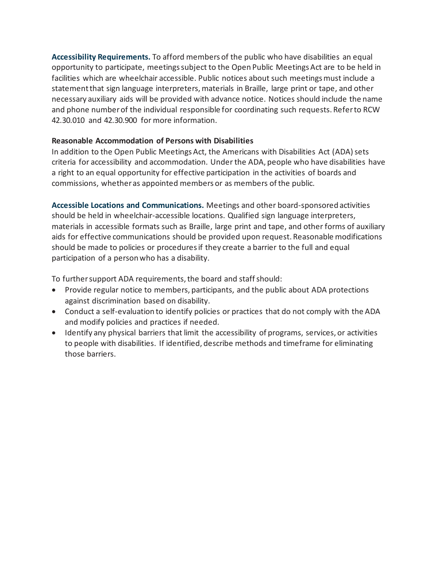**Accessibility Requirements.** To afford members of the public who have disabilities an equal opportunity to participate, meetings subject to the Open Public Meetings Act are to be held in facilities which are wheelchair accessible. Public notices about such meetings must include a statement that sign language interpreters, materials in Braille, large print or tape, and other necessary auxiliary aids will be provided with advance notice. Notices should include the name and phone number of the individual responsible for coordinating such requests. Refer to RCW 42.30.010 and 42.30.900 for more information.

# **Reasonable Accommodation of Persons with Disabilities**

In addition to the Open Public Meetings Act, the Americans with Disabilities Act (ADA) sets criteria for accessibility and accommodation. Under the ADA, people who have disabilities have a right to an equal opportunity for effective participation in the activities of boards and commissions, whether as appointed members or as members of the public.

**Accessible Locations and Communications.** Meetings and other board-sponsored activities should be held in wheelchair-accessible locations. Qualified sign language interpreters, materials in accessible formats such as Braille, large print and tape, and other forms of auxiliary aids for effective communications should be provided upon request. Reasonable modifications should be made to policies or procedures if they create a barrier to the full and equal participation of a person who has a disability.

To further support ADA requirements, the board and staff should:

- Provide regular notice to members, participants, and the public about ADA protections against discrimination based on disability.
- Conduct a self-evaluation to identify policies or practices that do not comply with the ADA and modify policies and practices if needed.
- Identify any physical barriers that limit the accessibility of programs, services, or activities to people with disabilities. If identified, describe methods and timeframe for eliminating those barriers.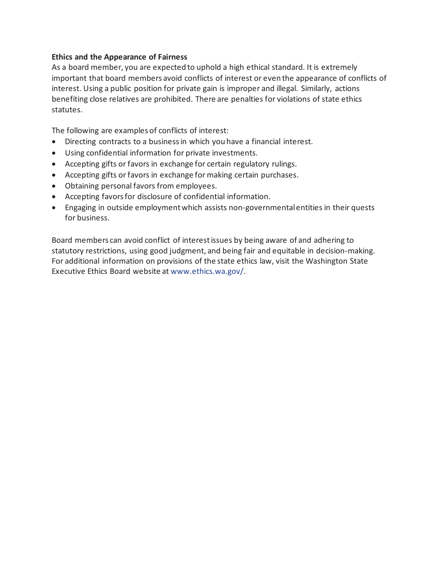# **Ethics and the Appearance of Fairness**

As a board member, you are expected to uphold a high ethical standard. It is extremely important that board members avoid conflicts of interest or even the appearance of conflicts of interest. Using a public position for private gain is improper and illegal. Similarly, actions benefiting close relatives are prohibited. There are penalties for violations of state ethics statutes.

The following are examples of conflicts of interest:

- Directing contracts to a business in which you have a financial interest.
- Using confidential information for private investments.
- Accepting gifts or favors in exchange for certain regulatory rulings.
- Accepting gifts or favors in exchange for making certain purchases.
- Obtaining personal favors from employees.
- Accepting favors for disclosure of confidential information.
- Engaging in outside employment which assists non-governmental entities in their quests for business.

Board members can avoid conflict of interest issues by being aware of and adhering to statutory restrictions, using good judgment, and being fair and equitable in decision-making. For additional information on provisions of the state ethics law, visit the Washington State Executive Ethics Board website at www.ethics.wa.gov/.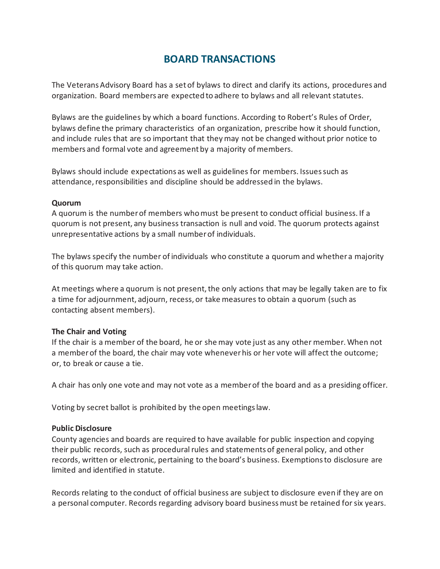# **BOARD TRANSACTIONS**

The Veterans Advisory Board has a set of bylaws to direct and clarify its actions, procedures and organization. Board members are expected to adhere to bylaws and all relevant statutes.

Bylaws are the guidelines by which a board functions. According to Robert's Rules of Order, bylaws define the primary characteristics of an organization, prescribe how it should function, and include rules that are so important that they may not be changed without prior notice to members and formal vote and agreement by a majority of members.

Bylaws should include expectations as well as guidelines for members. Issues such as attendance, responsibilities and discipline should be addressed in the bylaws.

#### **Quorum**

A quorum is the number of members who must be present to conduct official business. If a quorum is not present, any business transaction is null and void. The quorum protects against unrepresentative actions by a small number of individuals.

The bylaws specify the number of individuals who constitute a quorum and whether a majority of this quorum may take action.

At meetings where a quorum is not present, the only actions that may be legally taken are to fix a time for adjournment, adjourn, recess, or take measures to obtain a quorum (such as contacting absent members).

# **The Chair and Voting**

If the chair is a member of the board, he or she may vote just as any other member. When not a member of the board, the chair may vote whenever his or her vote will affect the outcome; or, to break or cause a tie.

A chair has only one vote and may not vote as a member of the board and as a presiding officer.

Voting by secret ballot is prohibited by the open meetings law.

# **Public Disclosure**

County agencies and boards are required to have available for public inspection and copying their public records, such as procedural rules and statements of general policy, and other records, written or electronic, pertaining to the board's business. Exemptions to disclosure are limited and identified in statute.

Records relating to the conduct of official business are subject to disclosure even if they are on a personal computer. Records regarding advisory board business must be retained for six years.